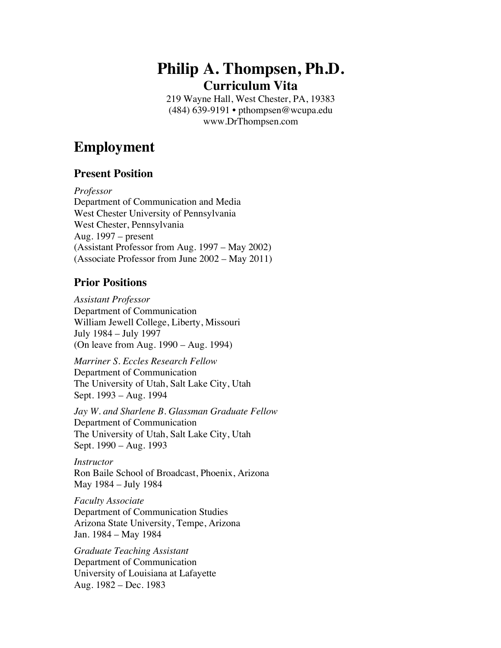# **Philip A. Thompsen, Ph.D. Curriculum Vita**

219 Wayne Hall, West Chester, PA, 19383 (484) 639-9191 • pthompsen@wcupa.edu www.DrThompsen.com

# **Employment**

#### **Present Position**

*Professor* Department of Communication and Media West Chester University of Pennsylvania West Chester, Pennsylvania Aug. 1997 – present (Assistant Professor from Aug. 1997 – May 2002) (Associate Professor from June 2002 – May 2011)

### **Prior Positions**

*Assistant Professor* Department of Communication William Jewell College, Liberty, Missouri July 1984 – July 1997 (On leave from Aug. 1990 – Aug. 1994)

*Marriner S. Eccles Research Fellow* Department of Communication The University of Utah, Salt Lake City, Utah Sept. 1993 – Aug. 1994

*Jay W. and Sharlene B. Glassman Graduate Fellow* Department of Communication The University of Utah, Salt Lake City, Utah Sept. 1990 – Aug. 1993

*Instructor* Ron Baile School of Broadcast, Phoenix, Arizona May 1984 – July 1984

*Faculty Associate* Department of Communication Studies Arizona State University, Tempe, Arizona Jan. 1984 – May 1984

*Graduate Teaching Assistant* Department of Communication University of Louisiana at Lafayette Aug. 1982 – Dec. 1983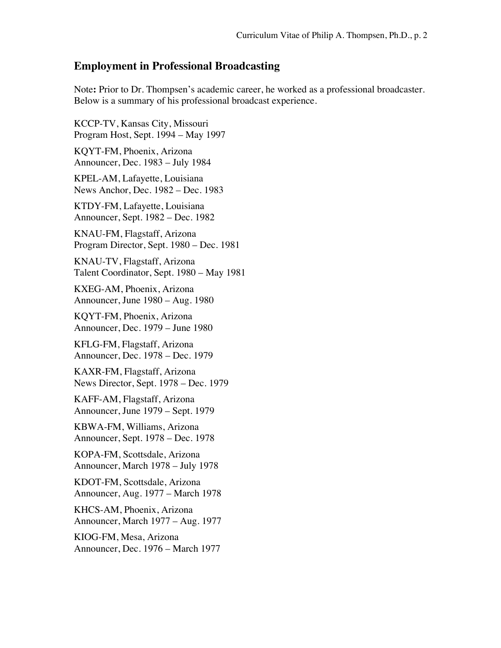#### **Employment in Professional Broadcasting**

Note**:** Prior to Dr. Thompsen's academic career, he worked as a professional broadcaster. Below is a summary of his professional broadcast experience.

KCCP-TV, Kansas City, Missouri Program Host, Sept. 1994 – May 1997 KQYT-FM, Phoenix, Arizona Announcer, Dec. 1983 – July 1984 KPEL-AM, Lafayette, Louisiana News Anchor, Dec. 1982 – Dec. 1983 KTDY-FM, Lafayette, Louisiana Announcer, Sept. 1982 – Dec. 1982 KNAU-FM, Flagstaff, Arizona Program Director, Sept. 1980 – Dec. 1981 KNAU-TV, Flagstaff, Arizona Talent Coordinator, Sept. 1980 – May 1981 KXEG-AM, Phoenix, Arizona Announcer, June 1980 – Aug. 1980 KQYT-FM, Phoenix, Arizona Announcer, Dec. 1979 – June 1980 KFLG-FM, Flagstaff, Arizona Announcer, Dec. 1978 – Dec. 1979 KAXR-FM, Flagstaff, Arizona News Director, Sept. 1978 – Dec. 1979 KAFF-AM, Flagstaff, Arizona Announcer, June 1979 – Sept. 1979 KBWA-FM, Williams, Arizona Announcer, Sept. 1978 – Dec. 1978 KOPA-FM, Scottsdale, Arizona Announcer, March 1978 – July 1978 KDOT-FM, Scottsdale, Arizona Announcer, Aug. 1977 – March 1978 KHCS-AM, Phoenix, Arizona Announcer, March 1977 – Aug. 1977 KIOG-FM, Mesa, Arizona Announcer, Dec. 1976 – March 1977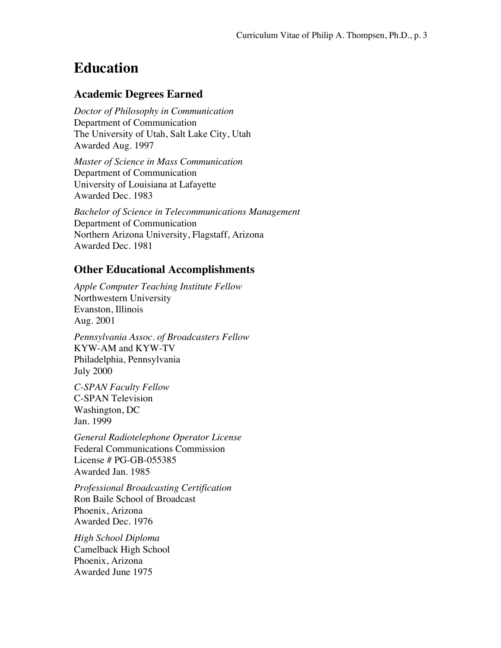# **Education**

#### **Academic Degrees Earned**

*Doctor of Philosophy in Communication* Department of Communication The University of Utah, Salt Lake City, Utah Awarded Aug. 1997

*Master of Science in Mass Communication* Department of Communication University of Louisiana at Lafayette Awarded Dec. 1983

*Bachelor of Science in Telecommunications Management* Department of Communication Northern Arizona University, Flagstaff, Arizona Awarded Dec. 1981

#### **Other Educational Accomplishments**

*Apple Computer Teaching Institute Fellow* Northwestern University Evanston, Illinois Aug. 2001

*Pennsylvania Assoc. of Broadcasters Fellow* KYW-AM and KYW-TV Philadelphia, Pennsylvania July 2000

*C-SPAN Faculty Fellow* C-SPAN Television Washington, DC Jan. 1999

*General Radiotelephone Operator License* Federal Communications Commission License # PG-GB-055385 Awarded Jan. 1985

*Professional Broadcasting Certification* Ron Baile School of Broadcast Phoenix, Arizona Awarded Dec. 1976

*High School Diploma* Camelback High School Phoenix, Arizona Awarded June 1975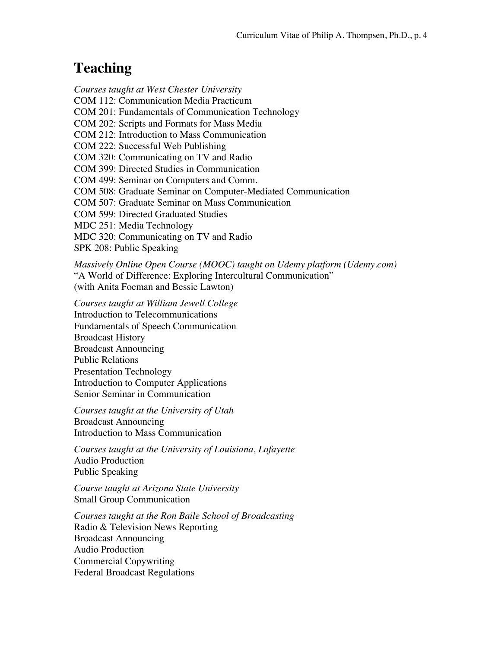# **Teaching**

*Courses taught at West Chester University* COM 112: Communication Media Practicum COM 201: Fundamentals of Communication Technology COM 202: Scripts and Formats for Mass Media COM 212: Introduction to Mass Communication COM 222: Successful Web Publishing COM 320: Communicating on TV and Radio COM 399: Directed Studies in Communication COM 499: Seminar on Computers and Comm. COM 508: Graduate Seminar on Computer-Mediated Communication COM 507: Graduate Seminar on Mass Communication COM 599: Directed Graduated Studies MDC 251: Media Technology MDC 320: Communicating on TV and Radio SPK 208: Public Speaking

*Massively Online Open Course (MOOC) taught on Udemy platform (Udemy.com)* "A World of Difference: Exploring Intercultural Communication" (with Anita Foeman and Bessie Lawton)

*Courses taught at William Jewell College* Introduction to Telecommunications Fundamentals of Speech Communication Broadcast History Broadcast Announcing Public Relations Presentation Technology Introduction to Computer Applications Senior Seminar in Communication

*Courses taught at the University of Utah* Broadcast Announcing Introduction to Mass Communication

*Courses taught at the University of Louisiana, Lafayette* Audio Production Public Speaking

*Course taught at Arizona State University* Small Group Communication

*Courses taught at the Ron Baile School of Broadcasting* Radio & Television News Reporting Broadcast Announcing Audio Production Commercial Copywriting Federal Broadcast Regulations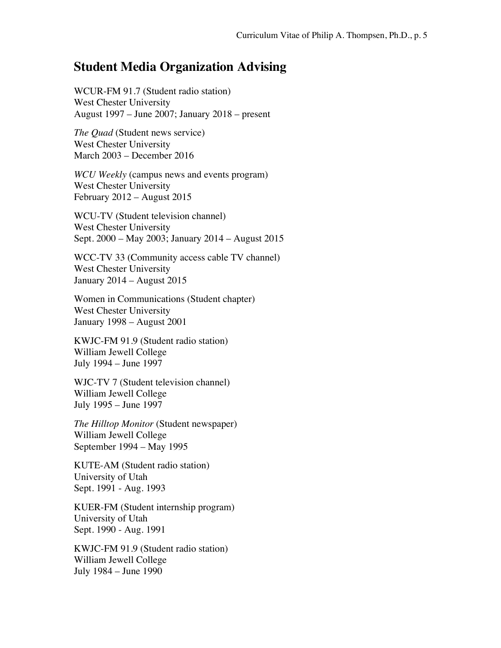### **Student Media Organization Advising**

WCUR-FM 91.7 (Student radio station) West Chester University August 1997 – June 2007; January 2018 – present

*The Quad* (Student news service) West Chester University March 2003 – December 2016

*WCU Weekly* (campus news and events program) West Chester University February 2012 – August 2015

WCU-TV (Student television channel) West Chester University Sept. 2000 – May 2003; January 2014 – August 2015

WCC-TV 33 (Community access cable TV channel) West Chester University January 2014 – August 2015

Women in Communications (Student chapter) West Chester University January 1998 – August 2001

KWJC-FM 91.9 (Student radio station) William Jewell College July 1994 – June 1997

WJC-TV 7 (Student television channel) William Jewell College July 1995 – June 1997

*The Hilltop Monitor* (Student newspaper) William Jewell College September 1994 – May 1995

KUTE-AM (Student radio station) University of Utah Sept. 1991 - Aug. 1993

KUER-FM (Student internship program) University of Utah Sept. 1990 - Aug. 1991

KWJC-FM 91.9 (Student radio station) William Jewell College July 1984 – June 1990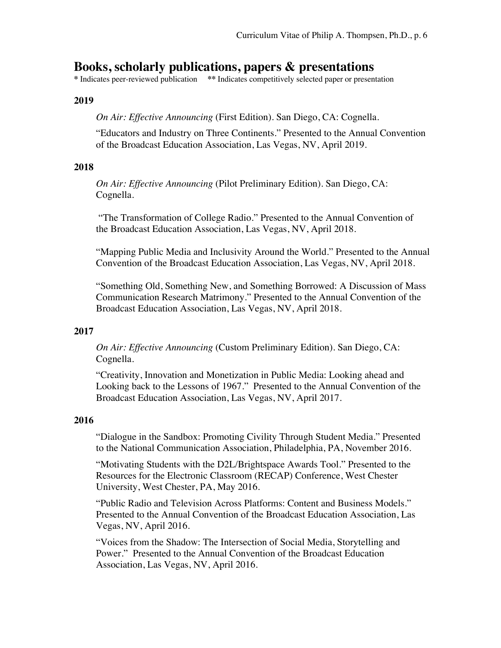# **Books, scholarly publications, papers & presentations <br>\*Indicates peer-reviewed publication \*\*Indicates competitively selected paper or presentation**

#### **2019**

*On Air: Effective Announcing* (First Edition). San Diego, CA: Cognella.

"Educators and Industry on Three Continents." Presented to the Annual Convention of the Broadcast Education Association, Las Vegas, NV, April 2019.

#### **2018**

*On Air: Effective Announcing* (Pilot Preliminary Edition). San Diego, CA: Cognella.

"The Transformation of College Radio." Presented to the Annual Convention of the Broadcast Education Association, Las Vegas, NV, April 2018.

"Mapping Public Media and Inclusivity Around the World." Presented to the Annual Convention of the Broadcast Education Association, Las Vegas, NV, April 2018.

"Something Old, Something New, and Something Borrowed: A Discussion of Mass Communication Research Matrimony." Presented to the Annual Convention of the Broadcast Education Association, Las Vegas, NV, April 2018.

#### **2017**

*On Air: Effective Announcing* (Custom Preliminary Edition). San Diego, CA: Cognella.

"Creativity, Innovation and Monetization in Public Media: Looking ahead and Looking back to the Lessons of 1967." Presented to the Annual Convention of the Broadcast Education Association, Las Vegas, NV, April 2017.

#### **2016**

"Dialogue in the Sandbox: Promoting Civility Through Student Media." Presented to the National Communication Association, Philadelphia, PA, November 2016.

"Motivating Students with the D2L/Brightspace Awards Tool." Presented to the Resources for the Electronic Classroom (RECAP) Conference, West Chester University, West Chester, PA, May 2016.

"Public Radio and Television Across Platforms: Content and Business Models." Presented to the Annual Convention of the Broadcast Education Association, Las Vegas, NV, April 2016.

"Voices from the Shadow: The Intersection of Social Media, Storytelling and Power." Presented to the Annual Convention of the Broadcast Education Association, Las Vegas, NV, April 2016.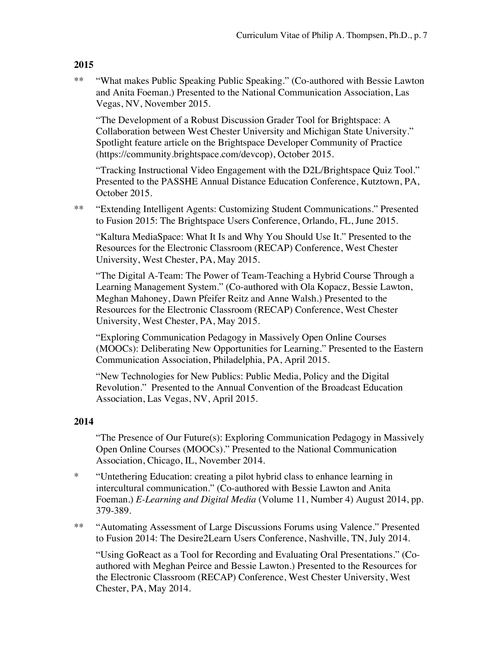\*\* "What makes Public Speaking Public Speaking." (Co-authored with Bessie Lawton and Anita Foeman.) Presented to the National Communication Association, Las Vegas, NV, November 2015.

"The Development of a Robust Discussion Grader Tool for Brightspace: A Collaboration between West Chester University and Michigan State University." Spotlight feature article on the Brightspace Developer Community of Practice (https://community.brightspace.com/devcop), October 2015.

"Tracking Instructional Video Engagement with the D2L/Brightspace Quiz Tool." Presented to the PASSHE Annual Distance Education Conference, Kutztown, PA, October 2015.

\*\* "Extending Intelligent Agents: Customizing Student Communications." Presented to Fusion 2015: The Brightspace Users Conference, Orlando, FL, June 2015.

"Kaltura MediaSpace: What It Is and Why You Should Use It." Presented to the Resources for the Electronic Classroom (RECAP) Conference, West Chester University, West Chester, PA, May 2015.

"The Digital A-Team: The Power of Team-Teaching a Hybrid Course Through a Learning Management System." (Co-authored with Ola Kopacz, Bessie Lawton, Meghan Mahoney, Dawn Pfeifer Reitz and Anne Walsh.) Presented to the Resources for the Electronic Classroom (RECAP) Conference, West Chester University, West Chester, PA, May 2015.

"Exploring Communication Pedagogy in Massively Open Online Courses (MOOCs): Deliberating New Opportunities for Learning." Presented to the Eastern Communication Association, Philadelphia, PA, April 2015.

"New Technologies for New Publics: Public Media, Policy and the Digital Revolution." Presented to the Annual Convention of the Broadcast Education Association, Las Vegas, NV, April 2015.

#### **2014**

"The Presence of Our Future(s): Exploring Communication Pedagogy in Massively Open Online Courses (MOOCs)." Presented to the National Communication Association, Chicago, IL, November 2014.

- \* "Untethering Education: creating a pilot hybrid class to enhance learning in intercultural communication." (Co-authored with Bessie Lawton and Anita Foeman.) *E-Learning and Digital Media* (Volume 11, Number 4) August 2014, pp. 379-389.
- \*\* "Automating Assessment of Large Discussions Forums using Valence." Presented to Fusion 2014: The Desire2Learn Users Conference, Nashville, TN, July 2014.

"Using GoReact as a Tool for Recording and Evaluating Oral Presentations." (Coauthored with Meghan Peirce and Bessie Lawton.) Presented to the Resources for the Electronic Classroom (RECAP) Conference, West Chester University, West Chester, PA, May 2014.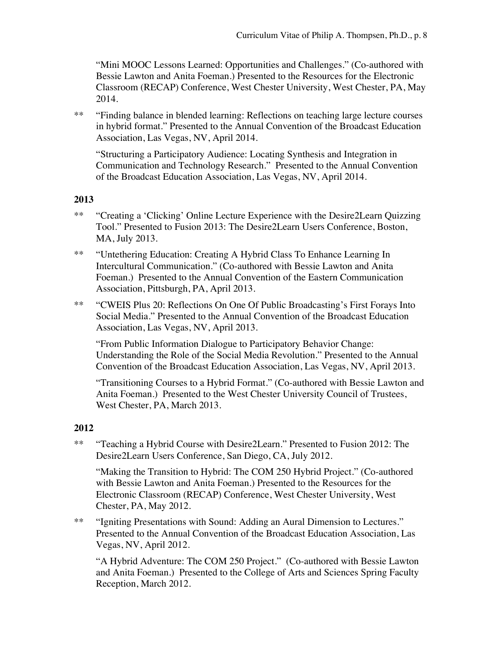"Mini MOOC Lessons Learned: Opportunities and Challenges." (Co-authored with Bessie Lawton and Anita Foeman.) Presented to the Resources for the Electronic Classroom (RECAP) Conference, West Chester University, West Chester, PA, May 2014.

\*\* "Finding balance in blended learning: Reflections on teaching large lecture courses in hybrid format." Presented to the Annual Convention of the Broadcast Education Association, Las Vegas, NV, April 2014.

"Structuring a Participatory Audience: Locating Synthesis and Integration in Communication and Technology Research." Presented to the Annual Convention of the Broadcast Education Association, Las Vegas, NV, April 2014.

#### **2013**

- \*\* "Creating a 'Clicking' Online Lecture Experience with the Desire2Learn Quizzing Tool." Presented to Fusion 2013: The Desire2Learn Users Conference, Boston, MA, July 2013.
- \*\* "Untethering Education: Creating A Hybrid Class To Enhance Learning In Intercultural Communication." (Co-authored with Bessie Lawton and Anita Foeman.) Presented to the Annual Convention of the Eastern Communication Association, Pittsburgh, PA, April 2013.
- \*\* "CWEIS Plus 20: Reflections On One Of Public Broadcasting's First Forays Into Social Media." Presented to the Annual Convention of the Broadcast Education Association, Las Vegas, NV, April 2013.

"From Public Information Dialogue to Participatory Behavior Change: Understanding the Role of the Social Media Revolution." Presented to the Annual Convention of the Broadcast Education Association, Las Vegas, NV, April 2013.

"Transitioning Courses to a Hybrid Format." (Co-authored with Bessie Lawton and Anita Foeman.) Presented to the West Chester University Council of Trustees, West Chester, PA, March 2013.

#### **2012**

\*\* "Teaching a Hybrid Course with Desire2Learn." Presented to Fusion 2012: The Desire2Learn Users Conference, San Diego, CA, July 2012.

"Making the Transition to Hybrid: The COM 250 Hybrid Project." (Co-authored with Bessie Lawton and Anita Foeman.) Presented to the Resources for the Electronic Classroom (RECAP) Conference, West Chester University, West Chester, PA, May 2012.

\*\* "Igniting Presentations with Sound: Adding an Aural Dimension to Lectures." Presented to the Annual Convention of the Broadcast Education Association, Las Vegas, NV, April 2012.

"A Hybrid Adventure: The COM 250 Project." (Co-authored with Bessie Lawton and Anita Foeman.) Presented to the College of Arts and Sciences Spring Faculty Reception, March 2012.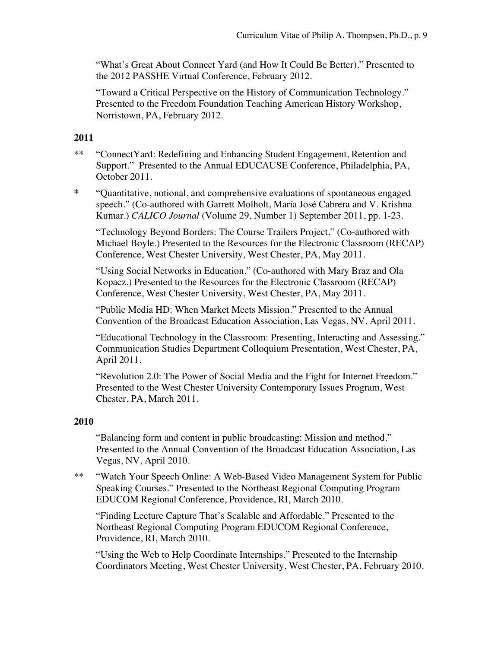"What's Great About Connect Yard (and How It Could Be Better)." Presented to the 2012 PASSHE Virtual Conference, February 2012.

"Toward a Critical Perspective on the History of Communication Technology." Presented to the Freedom Foundation Teaching American History Workshop, Norristown, PA, February 2012.

#### **2011**

- \*\* "ConnectYard: Redefining and Enhancing Student Engagement, Retention and Support." Presented to the Annual EDUCAUSE Conference, Philadelphia, PA, October 2011.
- **\*** "Quantitative, notional, and comprehensive evaluations of spontaneous engaged speech." (Co-authored with Garrett Molholt, María José Cabrera and V. Krishna Kumar.) *CALICO Journal* (Volume 29, Number 1) September 2011, pp. 1-23.

"Technology Beyond Borders: The Course Trailers Project." (Co-authored with Michael Boyle.) Presented to the Resources for the Electronic Classroom (RECAP) Conference, West Chester University, West Chester, PA, May 2011.

"Using Social Networks in Education." (Co-authored with Mary Braz and Ola Kopacz.) Presented to the Resources for the Electronic Classroom (RECAP) Conference, West Chester University, West Chester, PA, May 2011.

"Public Media HD: When Market Meets Mission." Presented to the Annual Convention of the Broadcast Education Association, Las Vegas, NV, April 2011.

"Educational Technology in the Classroom: Presenting, Interacting and Assessing." Communication Studies Department Colloquium Presentation, West Chester, PA, April 2011.

"Revolution 2.0: The Power of Social Media and the Fight for Internet Freedom." Presented to the West Chester University Contemporary Issues Program, West Chester, PA, March 2011.

#### **2010**

"Balancing form and content in public broadcasting: Mission and method." Presented to the Annual Convention of the Broadcast Education Association, Las Vegas, NV, April 2010.

\*\* "Watch Your Speech Online: A Web-Based Video Management System for Public Speaking Courses." Presented to the Northeast Regional Computing Program EDUCOM Regional Conference, Providence, RI, March 2010.

"Finding Lecture Capture That's Scalable and Affordable." Presented to the Northeast Regional Computing Program EDUCOM Regional Conference, Providence, RI, March 2010.

"Using the Web to Help Coordinate Internships." Presented to the Internship Coordinators Meeting, West Chester University, West Chester, PA, February 2010.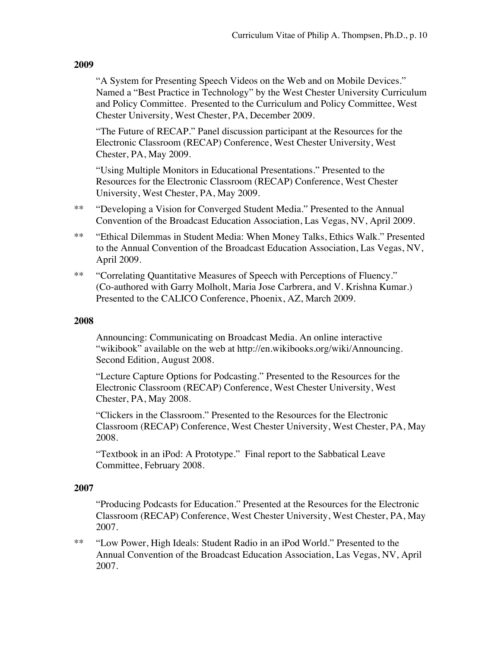"A System for Presenting Speech Videos on the Web and on Mobile Devices." Named a "Best Practice in Technology" by the West Chester University Curriculum and Policy Committee. Presented to the Curriculum and Policy Committee, West Chester University, West Chester, PA, December 2009.

"The Future of RECAP." Panel discussion participant at the Resources for the Electronic Classroom (RECAP) Conference, West Chester University, West Chester, PA, May 2009.

"Using Multiple Monitors in Educational Presentations." Presented to the Resources for the Electronic Classroom (RECAP) Conference, West Chester University, West Chester, PA, May 2009.

- \*\* "Developing a Vision for Converged Student Media." Presented to the Annual Convention of the Broadcast Education Association, Las Vegas, NV, April 2009.
- \*\* "Ethical Dilemmas in Student Media: When Money Talks, Ethics Walk." Presented to the Annual Convention of the Broadcast Education Association, Las Vegas, NV, April 2009.
- \*\* "Correlating Quantitative Measures of Speech with Perceptions of Fluency." (Co-authored with Garry Molholt, Maria Jose Carbrera, and V. Krishna Kumar.) Presented to the CALICO Conference, Phoenix, AZ, March 2009.

#### **2008**

Announcing: Communicating on Broadcast Media. An online interactive "wikibook" available on the web at http://en.wikibooks.org/wiki/Announcing. Second Edition, August 2008.

"Lecture Capture Options for Podcasting." Presented to the Resources for the Electronic Classroom (RECAP) Conference, West Chester University, West Chester, PA, May 2008.

"Clickers in the Classroom." Presented to the Resources for the Electronic Classroom (RECAP) Conference, West Chester University, West Chester, PA, May 2008.

"Textbook in an iPod: A Prototype." Final report to the Sabbatical Leave Committee, February 2008.

#### **2007**

"Producing Podcasts for Education." Presented at the Resources for the Electronic Classroom (RECAP) Conference, West Chester University, West Chester, PA, May 2007.

\*\* "Low Power, High Ideals: Student Radio in an iPod World." Presented to the Annual Convention of the Broadcast Education Association, Las Vegas, NV, April 2007.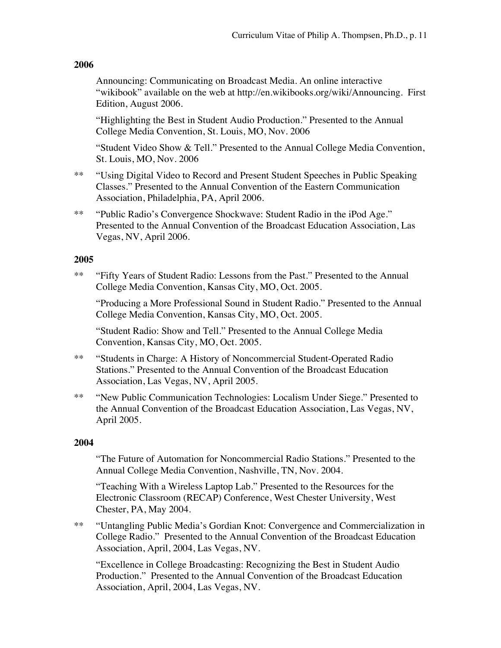Announcing: Communicating on Broadcast Media. An online interactive "wikibook" available on the web at http://en.wikibooks.org/wiki/Announcing. First Edition, August 2006.

"Highlighting the Best in Student Audio Production." Presented to the Annual College Media Convention, St. Louis, MO, Nov. 2006

"Student Video Show & Tell." Presented to the Annual College Media Convention, St. Louis, MO, Nov. 2006

- \*\* "Using Digital Video to Record and Present Student Speeches in Public Speaking Classes." Presented to the Annual Convention of the Eastern Communication Association, Philadelphia, PA, April 2006.
- \*\* "Public Radio's Convergence Shockwave: Student Radio in the iPod Age." Presented to the Annual Convention of the Broadcast Education Association, Las Vegas, NV, April 2006.

#### **2005**

\*\* "Fifty Years of Student Radio: Lessons from the Past." Presented to the Annual College Media Convention, Kansas City, MO, Oct. 2005.

"Producing a More Professional Sound in Student Radio." Presented to the Annual College Media Convention, Kansas City, MO, Oct. 2005.

"Student Radio: Show and Tell." Presented to the Annual College Media Convention, Kansas City, MO, Oct. 2005.

- \*\* "Students in Charge: A History of Noncommercial Student-Operated Radio Stations." Presented to the Annual Convention of the Broadcast Education Association, Las Vegas, NV, April 2005.
- \*\* "New Public Communication Technologies: Localism Under Siege." Presented to the Annual Convention of the Broadcast Education Association, Las Vegas, NV, April 2005.

#### **2004**

"The Future of Automation for Noncommercial Radio Stations." Presented to the Annual College Media Convention, Nashville, TN, Nov. 2004.

"Teaching With a Wireless Laptop Lab." Presented to the Resources for the Electronic Classroom (RECAP) Conference, West Chester University, West Chester, PA, May 2004.

\*\* "Untangling Public Media's Gordian Knot: Convergence and Commercialization in College Radio." Presented to the Annual Convention of the Broadcast Education Association, April, 2004, Las Vegas, NV.

"Excellence in College Broadcasting: Recognizing the Best in Student Audio Production." Presented to the Annual Convention of the Broadcast Education Association, April, 2004, Las Vegas, NV.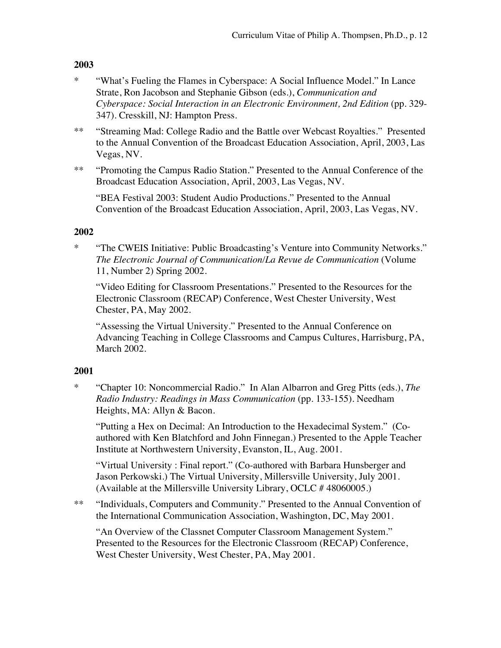- \* "What's Fueling the Flames in Cyberspace: A Social Influence Model." In Lance Strate, Ron Jacobson and Stephanie Gibson (eds.), *Communication and Cyberspace: Social Interaction in an Electronic Environment, 2nd Edition* (pp. 329- 347). Cresskill, NJ: Hampton Press.
- \*\* "Streaming Mad: College Radio and the Battle over Webcast Royalties." Presented to the Annual Convention of the Broadcast Education Association, April, 2003, Las Vegas, NV.
- \*\* "Promoting the Campus Radio Station." Presented to the Annual Conference of the Broadcast Education Association, April, 2003, Las Vegas, NV.

"BEA Festival 2003: Student Audio Productions." Presented to the Annual Convention of the Broadcast Education Association, April, 2003, Las Vegas, NV.

#### **2002**

\* "The CWEIS Initiative: Public Broadcasting's Venture into Community Networks." *The Electronic Journal of Communication/La Revue de Communication* (Volume 11, Number 2) Spring 2002.

"Video Editing for Classroom Presentations." Presented to the Resources for the Electronic Classroom (RECAP) Conference, West Chester University, West Chester, PA, May 2002.

"Assessing the Virtual University." Presented to the Annual Conference on Advancing Teaching in College Classrooms and Campus Cultures, Harrisburg, PA, March 2002.

#### **2001**

\* "Chapter 10: Noncommercial Radio." In Alan Albarron and Greg Pitts (eds.), *The Radio Industry: Readings in Mass Communication* (pp. 133-155). Needham Heights, MA: Allyn & Bacon.

"Putting a Hex on Decimal: An Introduction to the Hexadecimal System." (Coauthored with Ken Blatchford and John Finnegan.) Presented to the Apple Teacher Institute at Northwestern University, Evanston, IL, Aug. 2001.

"Virtual University : Final report." (Co-authored with Barbara Hunsberger and Jason Perkowski.) The Virtual University, Millersville University, July 2001. (Available at the Millersville University Library, OCLC # 48060005.)

\*\* "Individuals, Computers and Community." Presented to the Annual Convention of the International Communication Association, Washington, DC, May 2001.

"An Overview of the Classnet Computer Classroom Management System." Presented to the Resources for the Electronic Classroom (RECAP) Conference, West Chester University, West Chester, PA, May 2001.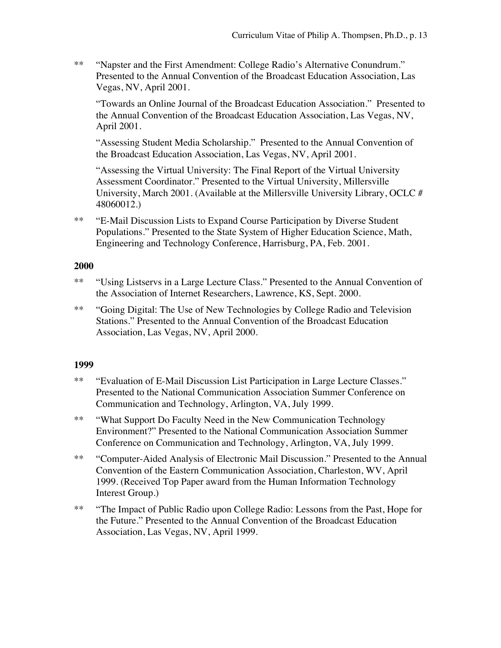\*\* "Napster and the First Amendment: College Radio's Alternative Conundrum." Presented to the Annual Convention of the Broadcast Education Association, Las Vegas, NV, April 2001.

"Towards an Online Journal of the Broadcast Education Association." Presented to the Annual Convention of the Broadcast Education Association, Las Vegas, NV, April 2001.

"Assessing Student Media Scholarship." Presented to the Annual Convention of the Broadcast Education Association, Las Vegas, NV, April 2001.

"Assessing the Virtual University: The Final Report of the Virtual University Assessment Coordinator." Presented to the Virtual University, Millersville University, March 2001. (Available at the Millersville University Library, OCLC # 48060012.)

\*\* "E-Mail Discussion Lists to Expand Course Participation by Diverse Student Populations." Presented to the State System of Higher Education Science, Math, Engineering and Technology Conference, Harrisburg, PA, Feb. 2001.

#### **2000**

- \*\* "Using Listservs in a Large Lecture Class." Presented to the Annual Convention of the Association of Internet Researchers, Lawrence, KS, Sept. 2000.
- \*\* "Going Digital: The Use of New Technologies by College Radio and Television Stations." Presented to the Annual Convention of the Broadcast Education Association, Las Vegas, NV, April 2000.

#### **1999**

- \*\* "Evaluation of E-Mail Discussion List Participation in Large Lecture Classes." Presented to the National Communication Association Summer Conference on Communication and Technology, Arlington, VA, July 1999.
- \*\* "What Support Do Faculty Need in the New Communication Technology Environment?" Presented to the National Communication Association Summer Conference on Communication and Technology, Arlington, VA, July 1999.
- \*\* "Computer-Aided Analysis of Electronic Mail Discussion." Presented to the Annual Convention of the Eastern Communication Association, Charleston, WV, April 1999. (Received Top Paper award from the Human Information Technology Interest Group.)
- \*\* "The Impact of Public Radio upon College Radio: Lessons from the Past, Hope for the Future." Presented to the Annual Convention of the Broadcast Education Association, Las Vegas, NV, April 1999.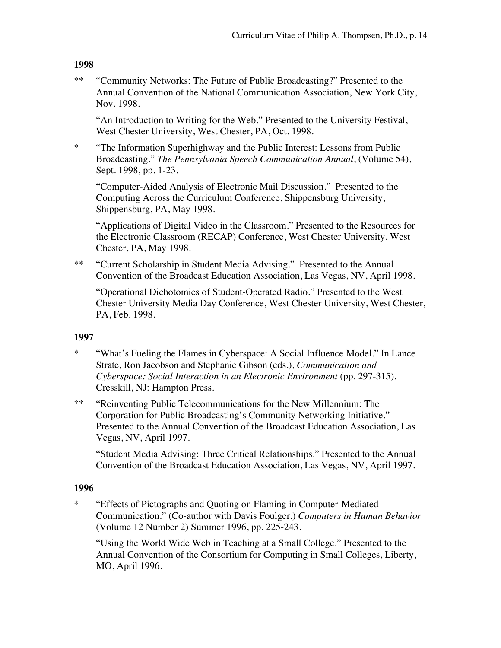\*\* "Community Networks: The Future of Public Broadcasting?" Presented to the Annual Convention of the National Communication Association, New York City, Nov. 1998.

"An Introduction to Writing for the Web." Presented to the University Festival, West Chester University, West Chester, PA, Oct. 1998.

\* "The Information Superhighway and the Public Interest: Lessons from Public Broadcasting." *The Pennsylvania Speech Communication Annual*, (Volume 54), Sept. 1998, pp. 1-23.

"Computer-Aided Analysis of Electronic Mail Discussion." Presented to the Computing Across the Curriculum Conference, Shippensburg University, Shippensburg, PA, May 1998.

"Applications of Digital Video in the Classroom." Presented to the Resources for the Electronic Classroom (RECAP) Conference, West Chester University, West Chester, PA, May 1998.

\*\* "Current Scholarship in Student Media Advising." Presented to the Annual Convention of the Broadcast Education Association, Las Vegas, NV, April 1998.

"Operational Dichotomies of Student-Operated Radio." Presented to the West Chester University Media Day Conference, West Chester University, West Chester, PA, Feb. 1998.

#### **1997**

- \* "What's Fueling the Flames in Cyberspace: A Social Influence Model." In Lance Strate, Ron Jacobson and Stephanie Gibson (eds.), *Communication and Cyberspace: Social Interaction in an Electronic Environment* (pp. 297-315). Cresskill, NJ: Hampton Press.
- \*\* "Reinventing Public Telecommunications for the New Millennium: The Corporation for Public Broadcasting's Community Networking Initiative." Presented to the Annual Convention of the Broadcast Education Association, Las Vegas, NV, April 1997.

"Student Media Advising: Three Critical Relationships." Presented to the Annual Convention of the Broadcast Education Association, Las Vegas, NV, April 1997.

#### **1996**

\* "Effects of Pictographs and Quoting on Flaming in Computer-Mediated Communication." (Co-author with Davis Foulger.) *Computers in Human Behavior* (Volume 12 Number 2) Summer 1996, pp. 225-243.

"Using the World Wide Web in Teaching at a Small College." Presented to the Annual Convention of the Consortium for Computing in Small Colleges, Liberty, MO, April 1996.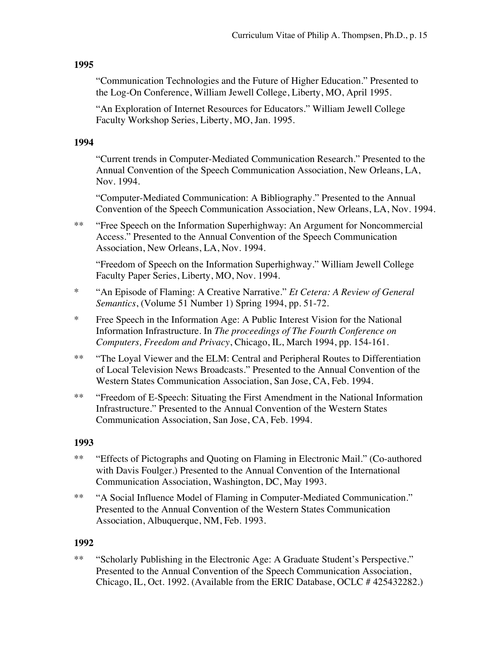"Communication Technologies and the Future of Higher Education." Presented to the Log-On Conference, William Jewell College, Liberty, MO, April 1995.

"An Exploration of Internet Resources for Educators." William Jewell College Faculty Workshop Series, Liberty, MO, Jan. 1995.

#### **1994**

"Current trends in Computer-Mediated Communication Research." Presented to the Annual Convention of the Speech Communication Association, New Orleans, LA, Nov. 1994.

"Computer-Mediated Communication: A Bibliography." Presented to the Annual Convention of the Speech Communication Association, New Orleans, LA, Nov. 1994.

\*\* "Free Speech on the Information Superhighway: An Argument for Noncommercial Access." Presented to the Annual Convention of the Speech Communication Association, New Orleans, LA, Nov. 1994.

"Freedom of Speech on the Information Superhighway." William Jewell College Faculty Paper Series, Liberty, MO, Nov. 1994.

- \* "An Episode of Flaming: A Creative Narrative." *Et Cetera: A Review of General Semantics*, (Volume 51 Number 1) Spring 1994, pp. 51-72.
- \* Free Speech in the Information Age: A Public Interest Vision for the National Information Infrastructure. In *The proceedings of The Fourth Conference on Computers, Freedom and Privacy*, Chicago, IL, March 1994, pp. 154-161.
- \*\* "The Loyal Viewer and the ELM: Central and Peripheral Routes to Differentiation of Local Television News Broadcasts." Presented to the Annual Convention of the Western States Communication Association, San Jose, CA, Feb. 1994.
- \*\* "Freedom of E-Speech: Situating the First Amendment in the National Information Infrastructure." Presented to the Annual Convention of the Western States Communication Association, San Jose, CA, Feb. 1994.

#### **1993**

- \*\* "Effects of Pictographs and Quoting on Flaming in Electronic Mail." (Co-authored with Davis Foulger.) Presented to the Annual Convention of the International Communication Association, Washington, DC, May 1993.
- \*\* "A Social Influence Model of Flaming in Computer-Mediated Communication." Presented to the Annual Convention of the Western States Communication Association, Albuquerque, NM, Feb. 1993.

#### **1992**

\*\* "Scholarly Publishing in the Electronic Age: A Graduate Student's Perspective." Presented to the Annual Convention of the Speech Communication Association, Chicago, IL, Oct. 1992. (Available from the ERIC Database, OCLC # 425432282.)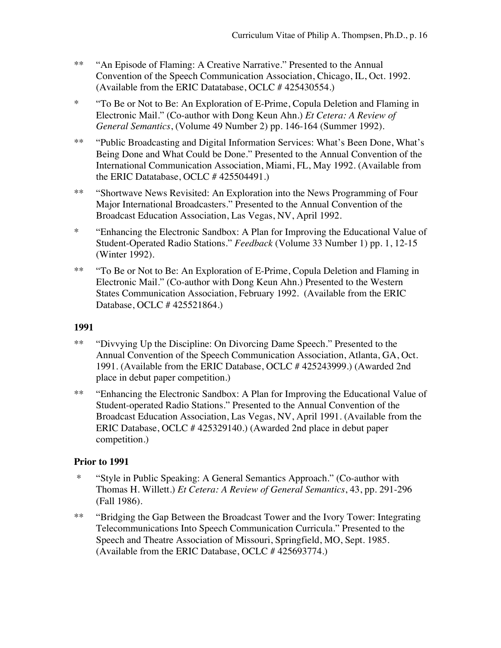- \*\* "An Episode of Flaming: A Creative Narrative." Presented to the Annual Convention of the Speech Communication Association, Chicago, IL, Oct. 1992. (Available from the ERIC Datatabase, OCLC # 425430554.)
- \* "To Be or Not to Be: An Exploration of E-Prime, Copula Deletion and Flaming in Electronic Mail." (Co-author with Dong Keun Ahn.) *Et Cetera: A Review of General Semantics*, (Volume 49 Number 2) pp. 146-164 (Summer 1992).
- \*\* "Public Broadcasting and Digital Information Services: What's Been Done, What's Being Done and What Could be Done." Presented to the Annual Convention of the International Communication Association, Miami, FL, May 1992. (Available from the ERIC Datatabase, OCLC # 425504491.)
- \*\* "Shortwave News Revisited: An Exploration into the News Programming of Four Major International Broadcasters." Presented to the Annual Convention of the Broadcast Education Association, Las Vegas, NV, April 1992.
- \* "Enhancing the Electronic Sandbox: A Plan for Improving the Educational Value of Student-Operated Radio Stations." *Feedback* (Volume 33 Number 1) pp. 1, 12-15 (Winter 1992).
- \*\* "To Be or Not to Be: An Exploration of E-Prime, Copula Deletion and Flaming in Electronic Mail." (Co-author with Dong Keun Ahn.) Presented to the Western States Communication Association, February 1992. (Available from the ERIC Database, OCLC # 425521864.)

- \*\* "Divvying Up the Discipline: On Divorcing Dame Speech." Presented to the Annual Convention of the Speech Communication Association, Atlanta, GA, Oct. 1991. (Available from the ERIC Database, OCLC # 425243999.) (Awarded 2nd place in debut paper competition.)
- \*\* "Enhancing the Electronic Sandbox: A Plan for Improving the Educational Value of Student-operated Radio Stations." Presented to the Annual Convention of the Broadcast Education Association, Las Vegas, NV, April 1991. (Available from the ERIC Database, OCLC # 425329140.) (Awarded 2nd place in debut paper competition.)

#### **Prior to 1991**

- \* "Style in Public Speaking: A General Semantics Approach." (Co-author with Thomas H. Willett.) *Et Cetera: A Review of General Semantics*, 43, pp. 291-296 (Fall 1986).
- \*\* "Bridging the Gap Between the Broadcast Tower and the Ivory Tower: Integrating Telecommunications Into Speech Communication Curricula." Presented to the Speech and Theatre Association of Missouri, Springfield, MO, Sept. 1985. (Available from the ERIC Database, OCLC # 425693774.)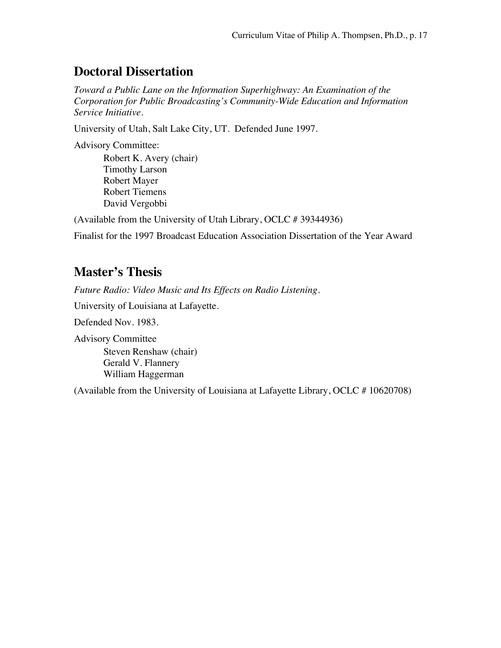### **Doctoral Dissertation**

*Toward a Public Lane on the Information Superhighway: An Examination of the Corporation for Public Broadcasting's Community-Wide Education and Information Service Initiative.*

University of Utah, Salt Lake City, UT. Defended June 1997.

Advisory Committee:

Robert K. Avery (chair) Timothy Larson Robert Mayer Robert Tiemens David Vergobbi

(Available from the University of Utah Library, OCLC # 39344936)

Finalist for the 1997 Broadcast Education Association Dissertation of the Year Award

### **Master's Thesis**

*Future Radio: Video Music and Its Effects on Radio Listening.* 

University of Louisiana at Lafayette.

Defended Nov. 1983.

Advisory Committee Steven Renshaw (chair) Gerald V. Flannery William Haggerman

(Available from the University of Louisiana at Lafayette Library, OCLC # 10620708)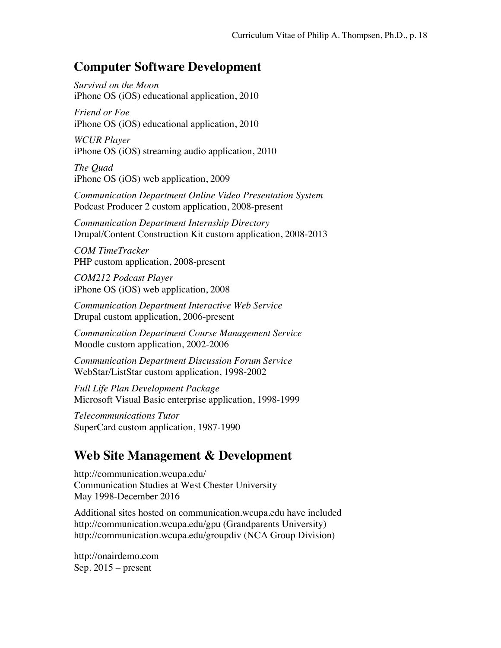### **Computer Software Development**

*Survival on the Moon* iPhone OS (iOS) educational application, 2010

*Friend or Foe* iPhone OS (iOS) educational application, 2010

*WCUR Player* iPhone OS (iOS) streaming audio application, 2010

*The Quad*  iPhone OS (iOS) web application, 2009

*Communication Department Online Video Presentation System*  Podcast Producer 2 custom application, 2008-present

*Communication Department Internship Directory* Drupal/Content Construction Kit custom application, 2008-2013

*COM TimeTracker* PHP custom application, 2008-present

*COM212 Podcast Player*  iPhone OS (iOS) web application, 2008

*Communication Department Interactive Web Service*  Drupal custom application, 2006-present

*Communication Department Course Management Service*  Moodle custom application, 2002-2006

*Communication Department Discussion Forum Service* WebStar/ListStar custom application, 1998-2002

*Full Life Plan Development Package* Microsoft Visual Basic enterprise application, 1998-1999

*Telecommunications Tutor* SuperCard custom application, 1987-1990

# **Web Site Management & Development**

http://communication.wcupa.edu/ Communication Studies at West Chester University May 1998-December 2016

Additional sites hosted on communication.wcupa.edu have included http://communication.wcupa.edu/gpu (Grandparents University) http://communication.wcupa.edu/groupdiv (NCA Group Division)

http://onairdemo.com Sep.  $2015$  – present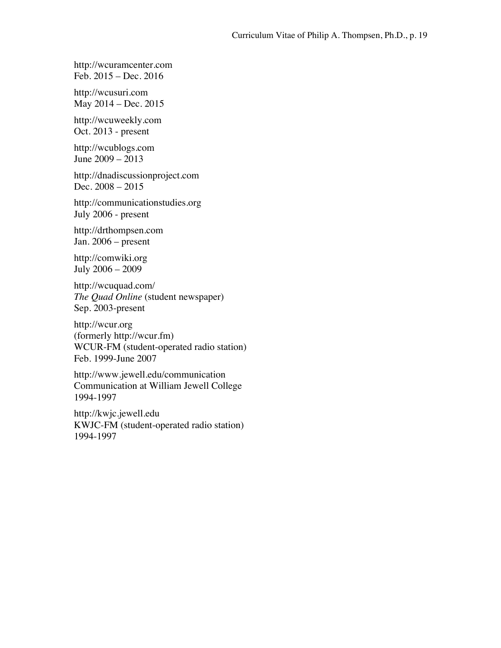http://wcuramcenter.com Feb. 2015 – Dec. 2016

http://wcusuri.com May 2014 – Dec. 2015

http://wcuweekly.com Oct. 2013 - present

http://wcublogs.com June 2009 – 2013

http://dnadiscussionproject.com Dec. 2008 – 2015

http://communicationstudies.org July 2006 - present

http://drthompsen.com Jan. 2006 – present

http://comwiki.org July 2006 – 2009

http://wcuquad.com/ *The Quad Online* (student newspaper) Sep. 2003-present

http://wcur.org (formerly http://wcur.fm) WCUR-FM (student-operated radio station) Feb. 1999-June 2007

http://www.jewell.edu/communication Communication at William Jewell College 1994-1997

http://kwjc.jewell.edu KWJC-FM (student-operated radio station) 1994-1997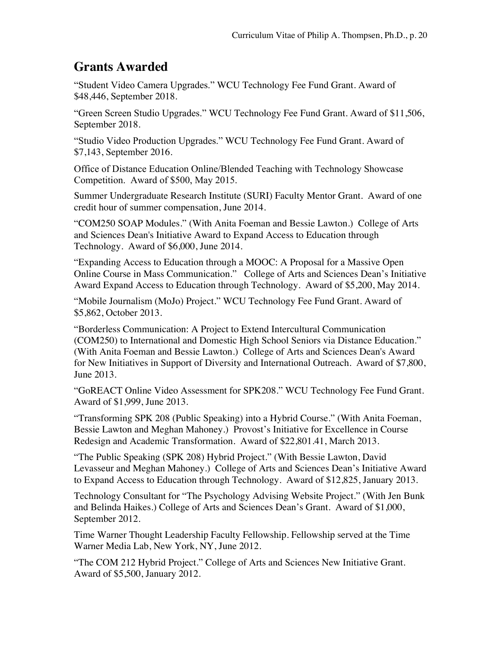### **Grants Awarded**

"Student Video Camera Upgrades." WCU Technology Fee Fund Grant. Award of \$48,446, September 2018.

"Green Screen Studio Upgrades." WCU Technology Fee Fund Grant. Award of \$11,506, September 2018.

"Studio Video Production Upgrades." WCU Technology Fee Fund Grant. Award of \$7,143, September 2016.

Office of Distance Education Online/Blended Teaching with Technology Showcase Competition. Award of \$500, May 2015.

Summer Undergraduate Research Institute (SURI) Faculty Mentor Grant. Award of one credit hour of summer compensation, June 2014.

"COM250 SOAP Modules." (With Anita Foeman and Bessie Lawton.) College of Arts and Sciences Dean's Initiative Award to Expand Access to Education through Technology. Award of \$6,000, June 2014.

"Expanding Access to Education through a MOOC: A Proposal for a Massive Open Online Course in Mass Communication." College of Arts and Sciences Dean's Initiative Award Expand Access to Education through Technology. Award of \$5,200, May 2014.

"Mobile Journalism (MoJo) Project." WCU Technology Fee Fund Grant. Award of \$5,862, October 2013.

"Borderless Communication: A Project to Extend Intercultural Communication (COM250) to International and Domestic High School Seniors via Distance Education." (With Anita Foeman and Bessie Lawton.) College of Arts and Sciences Dean's Award for New Initiatives in Support of Diversity and International Outreach. Award of \$7,800, June 2013.

"GoREACT Online Video Assessment for SPK208." WCU Technology Fee Fund Grant. Award of \$1,999, June 2013.

"Transforming SPK 208 (Public Speaking) into a Hybrid Course." (With Anita Foeman, Bessie Lawton and Meghan Mahoney.) Provost's Initiative for Excellence in Course Redesign and Academic Transformation. Award of \$22,801.41, March 2013.

"The Public Speaking (SPK 208) Hybrid Project." (With Bessie Lawton, David Levasseur and Meghan Mahoney.) College of Arts and Sciences Dean's Initiative Award to Expand Access to Education through Technology. Award of \$12,825, January 2013.

Technology Consultant for "The Psychology Advising Website Project." (With Jen Bunk and Belinda Haikes.) College of Arts and Sciences Dean's Grant. Award of \$1,000, September 2012.

Time Warner Thought Leadership Faculty Fellowship. Fellowship served at the Time Warner Media Lab, New York, NY, June 2012.

"The COM 212 Hybrid Project." College of Arts and Sciences New Initiative Grant. Award of \$5,500, January 2012.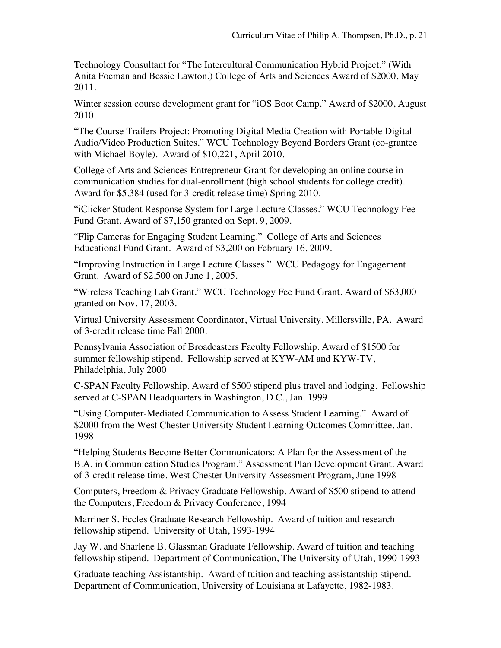Technology Consultant for "The Intercultural Communication Hybrid Project." (With Anita Foeman and Bessie Lawton.) College of Arts and Sciences Award of \$2000, May 2011.

Winter session course development grant for "iOS Boot Camp." Award of \$2000, August 2010.

"The Course Trailers Project: Promoting Digital Media Creation with Portable Digital Audio/Video Production Suites." WCU Technology Beyond Borders Grant (co-grantee with Michael Boyle). Award of \$10,221, April 2010.

College of Arts and Sciences Entrepreneur Grant for developing an online course in communication studies for dual-enrollment (high school students for college credit). Award for \$5,384 (used for 3-credit release time) Spring 2010.

"iClicker Student Response System for Large Lecture Classes." WCU Technology Fee Fund Grant. Award of \$7,150 granted on Sept. 9, 2009.

"Flip Cameras for Engaging Student Learning." College of Arts and Sciences Educational Fund Grant. Award of \$3,200 on February 16, 2009.

"Improving Instruction in Large Lecture Classes." WCU Pedagogy for Engagement Grant. Award of \$2,500 on June 1, 2005.

"Wireless Teaching Lab Grant." WCU Technology Fee Fund Grant. Award of \$63,000 granted on Nov. 17, 2003.

Virtual University Assessment Coordinator, Virtual University, Millersville, PA. Award of 3-credit release time Fall 2000.

Pennsylvania Association of Broadcasters Faculty Fellowship. Award of \$1500 for summer fellowship stipend. Fellowship served at KYW-AM and KYW-TV, Philadelphia, July 2000

C-SPAN Faculty Fellowship. Award of \$500 stipend plus travel and lodging. Fellowship served at C-SPAN Headquarters in Washington, D.C., Jan. 1999

"Using Computer-Mediated Communication to Assess Student Learning." Award of \$2000 from the West Chester University Student Learning Outcomes Committee. Jan. 1998

"Helping Students Become Better Communicators: A Plan for the Assessment of the B.A. in Communication Studies Program." Assessment Plan Development Grant. Award of 3-credit release time. West Chester University Assessment Program, June 1998

Computers, Freedom & Privacy Graduate Fellowship. Award of \$500 stipend to attend the Computers, Freedom & Privacy Conference, 1994

Marriner S. Eccles Graduate Research Fellowship. Award of tuition and research fellowship stipend. University of Utah, 1993-1994

Jay W. and Sharlene B. Glassman Graduate Fellowship. Award of tuition and teaching fellowship stipend. Department of Communication, The University of Utah, 1990-1993

Graduate teaching Assistantship. Award of tuition and teaching assistantship stipend. Department of Communication, University of Louisiana at Lafayette, 1982-1983.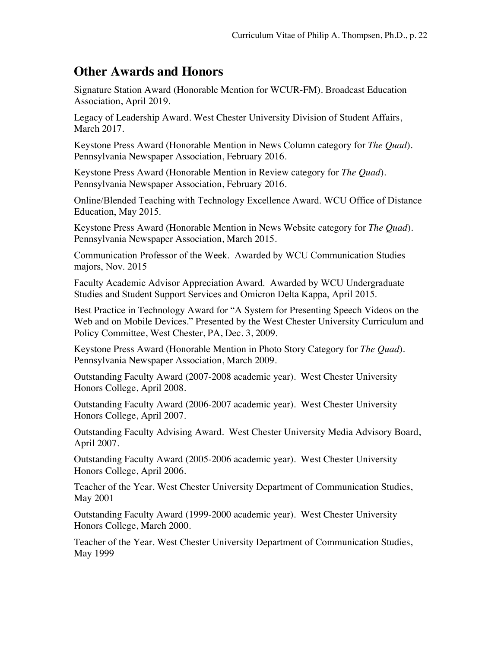### **Other Awards and Honors**

Signature Station Award (Honorable Mention for WCUR-FM). Broadcast Education Association, April 2019.

Legacy of Leadership Award. West Chester University Division of Student Affairs, March 2017.

Keystone Press Award (Honorable Mention in News Column category for *The Quad*). Pennsylvania Newspaper Association, February 2016.

Keystone Press Award (Honorable Mention in Review category for *The Quad*). Pennsylvania Newspaper Association, February 2016.

Online/Blended Teaching with Technology Excellence Award. WCU Office of Distance Education, May 2015.

Keystone Press Award (Honorable Mention in News Website category for *The Quad*). Pennsylvania Newspaper Association, March 2015.

Communication Professor of the Week. Awarded by WCU Communication Studies majors, Nov. 2015

Faculty Academic Advisor Appreciation Award. Awarded by WCU Undergraduate Studies and Student Support Services and Omicron Delta Kappa, April 2015.

Best Practice in Technology Award for "A System for Presenting Speech Videos on the Web and on Mobile Devices." Presented by the West Chester University Curriculum and Policy Committee, West Chester, PA, Dec. 3, 2009.

Keystone Press Award (Honorable Mention in Photo Story Category for *The Quad*). Pennsylvania Newspaper Association, March 2009.

Outstanding Faculty Award (2007-2008 academic year). West Chester University Honors College, April 2008.

Outstanding Faculty Award (2006-2007 academic year). West Chester University Honors College, April 2007.

Outstanding Faculty Advising Award. West Chester University Media Advisory Board, April 2007.

Outstanding Faculty Award (2005-2006 academic year). West Chester University Honors College, April 2006.

Teacher of the Year. West Chester University Department of Communication Studies, May 2001

Outstanding Faculty Award (1999-2000 academic year). West Chester University Honors College, March 2000.

Teacher of the Year. West Chester University Department of Communication Studies, May 1999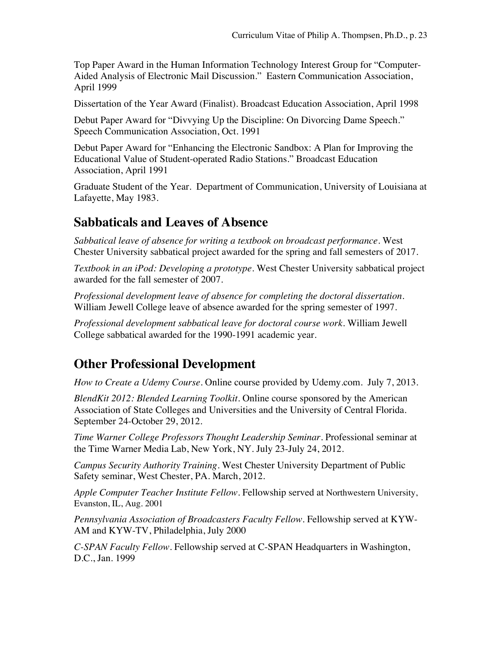Top Paper Award in the Human Information Technology Interest Group for "Computer-Aided Analysis of Electronic Mail Discussion." Eastern Communication Association, April 1999

Dissertation of the Year Award (Finalist). Broadcast Education Association, April 1998

Debut Paper Award for "Divvying Up the Discipline: On Divorcing Dame Speech." Speech Communication Association, Oct. 1991

Debut Paper Award for "Enhancing the Electronic Sandbox: A Plan for Improving the Educational Value of Student-operated Radio Stations." Broadcast Education Association, April 1991

Graduate Student of the Year. Department of Communication, University of Louisiana at Lafayette, May 1983.

### **Sabbaticals and Leaves of Absence**

*Sabbatical leave of absence for writing a textbook on broadcast performance*. West Chester University sabbatical project awarded for the spring and fall semesters of 2017.

*Textbook in an iPod: Developing a prototype*. West Chester University sabbatical project awarded for the fall semester of 2007.

*Professional development leave of absence for completing the doctoral dissertation*. William Jewell College leave of absence awarded for the spring semester of 1997.

*Professional development sabbatical leave for doctoral course work*. William Jewell College sabbatical awarded for the 1990-1991 academic year.

### **Other Professional Development**

*How to Create a Udemy Course*. Online course provided by Udemy.com. July 7, 2013.

*BlendKit 2012: Blended Learning Toolkit*. Online course sponsored by the American Association of State Colleges and Universities and the University of Central Florida. September 24-October 29, 2012.

*Time Warner College Professors Thought Leadership Seminar*. Professional seminar at the Time Warner Media Lab, New York, NY. July 23-July 24, 2012.

*Campus Security Authority Training*. West Chester University Department of Public Safety seminar, West Chester, PA. March, 2012.

*Apple Computer Teacher Institute Fellow.* Fellowship served at Northwestern University, Evanston, IL, Aug. 2001

*Pennsylvania Association of Broadcasters Faculty Fellow*. Fellowship served at KYW-AM and KYW-TV, Philadelphia, July 2000

*C-SPAN Faculty Fellow*. Fellowship served at C-SPAN Headquarters in Washington, D.C., Jan. 1999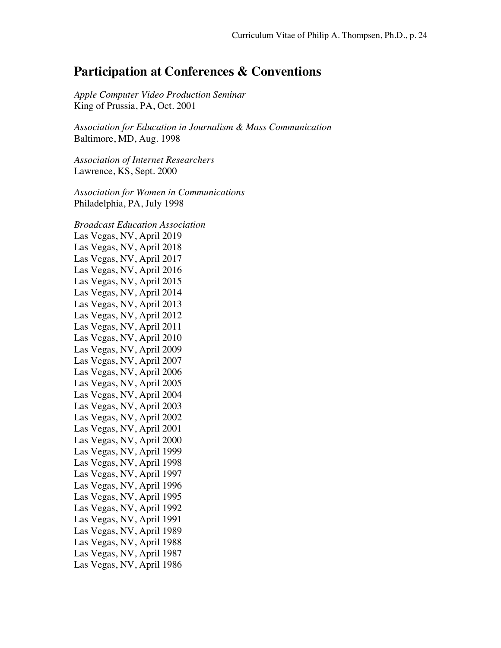### **Participation at Conferences & Conventions**

*Apple Computer Video Production Seminar* King of Prussia, PA, Oct. 2001

*Association for Education in Journalism & Mass Communication* Baltimore, MD, Aug. 1998

*Association of Internet Researchers* Lawrence, KS, Sept. 2000

*Association for Women in Communications* Philadelphia, PA, July 1998

*Broadcast Education Association* Las Vegas, NV, April 2019 Las Vegas, NV, April 2018 Las Vegas, NV, April 2017 Las Vegas, NV, April 2016 Las Vegas, NV, April 2015 Las Vegas, NV, April 2014 Las Vegas, NV, April 2013 Las Vegas, NV, April 2012 Las Vegas, NV, April 2011 Las Vegas, NV, April 2010 Las Vegas, NV, April 2009 Las Vegas, NV, April 2007 Las Vegas, NV, April 2006 Las Vegas, NV, April 2005 Las Vegas, NV, April 2004 Las Vegas, NV, April 2003 Las Vegas, NV, April 2002 Las Vegas, NV, April 2001 Las Vegas, NV, April 2000 Las Vegas, NV, April 1999 Las Vegas, NV, April 1998 Las Vegas, NV, April 1997 Las Vegas, NV, April 1996 Las Vegas, NV, April 1995 Las Vegas, NV, April 1992 Las Vegas, NV, April 1991 Las Vegas, NV, April 1989 Las Vegas, NV, April 1988 Las Vegas, NV, April 1987 Las Vegas, NV, April 1986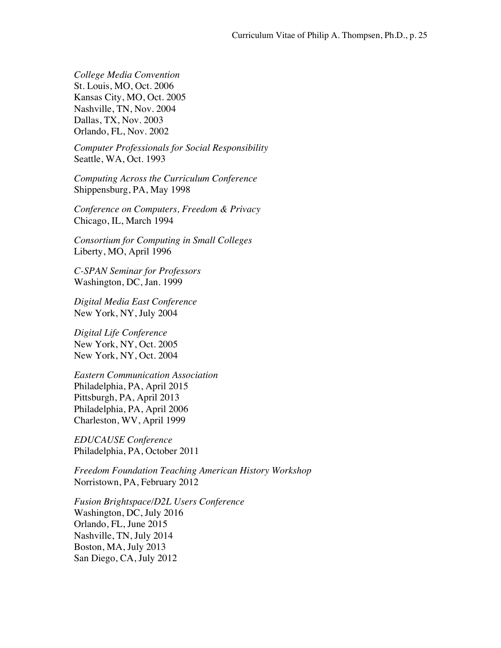*College Media Convention* St. Louis, MO, Oct. 2006 Kansas City, MO, Oct. 2005 Nashville, TN, Nov. 2004 Dallas, TX, Nov. 2003 Orlando, FL, Nov. 2002

*Computer Professionals for Social Responsibility* Seattle, WA, Oct. 1993

*Computing Across the Curriculum Conference* Shippensburg, PA, May 1998

*Conference on Computers, Freedom & Privacy* Chicago, IL, March 1994

*Consortium for Computing in Small Colleges* Liberty, MO, April 1996

*C-SPAN Seminar for Professors* Washington, DC, Jan. 1999

*Digital Media East Conference* New York, NY, July 2004

*Digital Life Conference* New York, NY, Oct. 2005 New York, NY, Oct. 2004

*Eastern Communication Association* Philadelphia, PA, April 2015 Pittsburgh, PA, April 2013 Philadelphia, PA, April 2006 Charleston, WV, April 1999

*EDUCAUSE Conference* Philadelphia, PA, October 2011

*Freedom Foundation Teaching American History Workshop* Norristown, PA, February 2012

*Fusion Brightspace/D2L Users Conference*  Washington, DC, July 2016 Orlando, FL, June 2015 Nashville, TN, July 2014 Boston, MA, July 2013 San Diego, CA, July 2012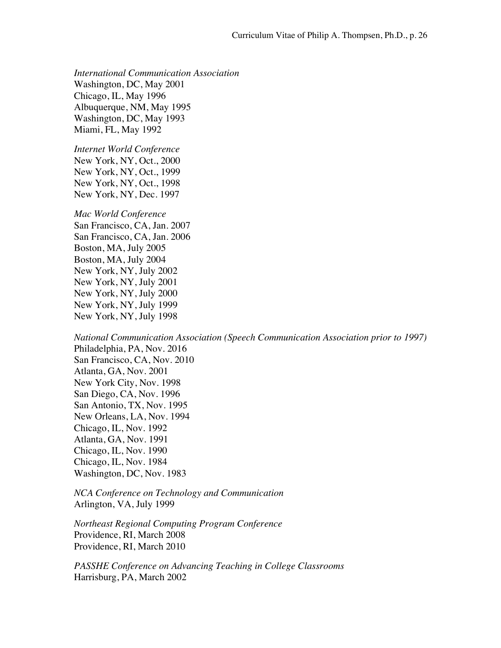*International Communication Association* Washington, DC, May 2001 Chicago, IL, May 1996 Albuquerque, NM, May 1995 Washington, DC, May 1993 Miami, FL, May 1992

*Internet World Conference* New York, NY, Oct., 2000 New York, NY, Oct., 1999 New York, NY, Oct., 1998 New York, NY, Dec. 1997

*Mac World Conference* San Francisco, CA, Jan. 2007

San Francisco, CA, Jan. 2006 Boston, MA, July 2005 Boston, MA, July 2004 New York, NY, July 2002 New York, NY, July 2001 New York, NY, July 2000 New York, NY, July 1999 New York, NY, July 1998

*National Communication Association (Speech Communication Association prior to 1997)* Philadelphia, PA, Nov. 2016 San Francisco, CA, Nov. 2010 Atlanta, GA, Nov. 2001 New York City, Nov. 1998 San Diego, CA, Nov. 1996 San Antonio, TX, Nov. 1995 New Orleans, LA, Nov. 1994 Chicago, IL, Nov. 1992 Atlanta, GA, Nov. 1991 Chicago, IL, Nov. 1990 Chicago, IL, Nov. 1984 Washington, DC, Nov. 1983

*NCA Conference on Technology and Communication* Arlington, VA, July 1999

*Northeast Regional Computing Program Conference* Providence, RI, March 2008 Providence, RI, March 2010

*PASSHE Conference on Advancing Teaching in College Classrooms*  Harrisburg, PA, March 2002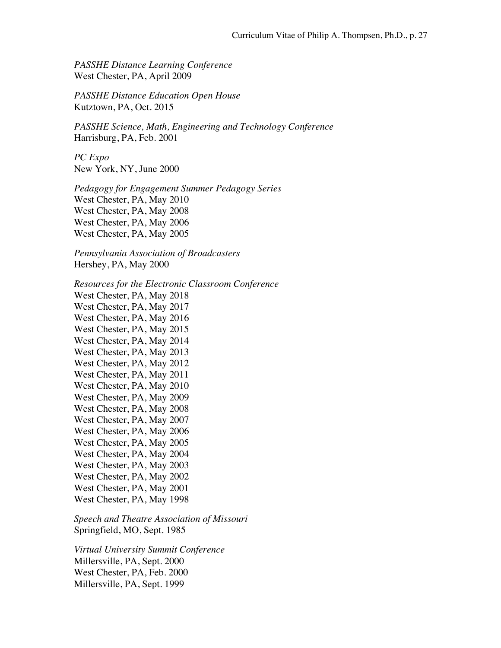*PASSHE Distance Learning Conference* West Chester, PA, April 2009

*PASSHE Distance Education Open House* Kutztown, PA, Oct. 2015

*PASSHE Science, Math, Engineering and Technology Conference* Harrisburg, PA, Feb. 2001

*PC Expo* New York, NY, June 2000

*Pedagogy for Engagement Summer Pedagogy Series* West Chester, PA, May 2010 West Chester, PA, May 2008 West Chester, PA, May 2006 West Chester, PA, May 2005

*Pennsylvania Association of Broadcasters* Hershey, PA, May 2000

*Resources for the Electronic Classroom Conference*

West Chester, PA, May 2018 West Chester, PA, May 2017 West Chester, PA, May 2016 West Chester, PA, May 2015 West Chester, PA, May 2014 West Chester, PA, May 2013 West Chester, PA, May 2012 West Chester, PA, May 2011 West Chester, PA, May 2010 West Chester, PA, May 2009 West Chester, PA, May 2008 West Chester, PA, May 2007 West Chester, PA, May 2006 West Chester, PA, May 2005 West Chester, PA, May 2004 West Chester, PA, May 2003 West Chester, PA, May 2002 West Chester, PA, May 2001 West Chester, PA, May 1998

*Speech and Theatre Association of Missouri* Springfield, MO, Sept. 1985

*Virtual University Summit Conference* Millersville, PA, Sept. 2000 West Chester, PA, Feb. 2000 Millersville, PA, Sept. 1999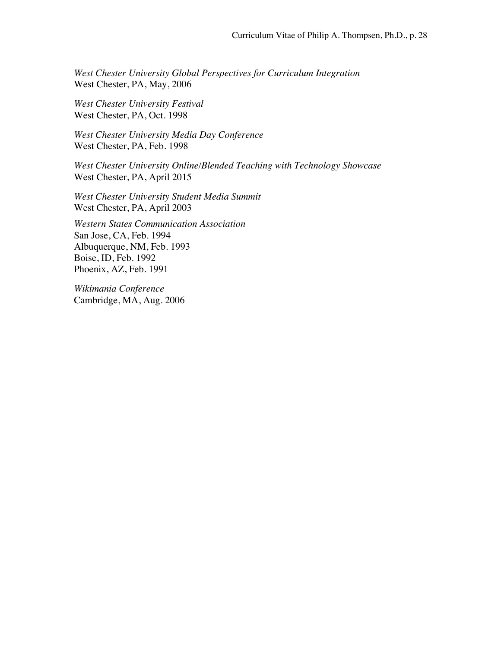*West Chester University Global Perspectives for Curriculum Integration* West Chester, PA, May, 2006

*West Chester University Festival* West Chester, PA, Oct. 1998

*West Chester University Media Day Conference* West Chester, PA, Feb. 1998

*West Chester University Online/Blended Teaching with Technology Showcase* West Chester, PA, April 2015

*West Chester University Student Media Summit* West Chester, PA, April 2003

*Western States Communication Association* San Jose, CA, Feb. 1994 Albuquerque, NM, Feb. 1993 Boise, ID, Feb. 1992 Phoenix, AZ, Feb. 1991

*Wikimania Conference* Cambridge, MA, Aug. 2006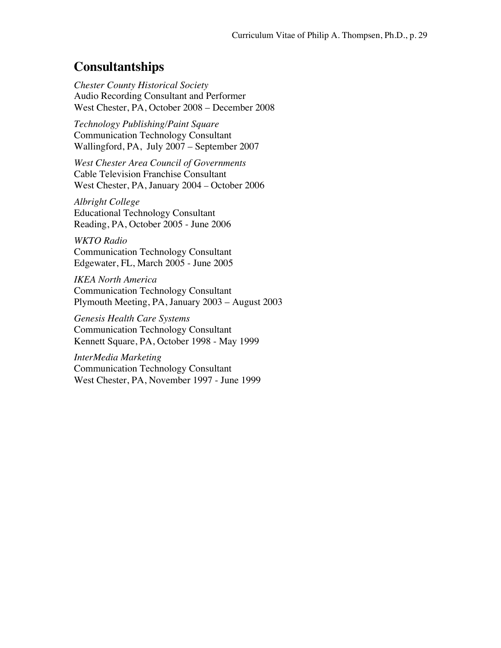### **Consultantships**

*Chester County Historical Society* Audio Recording Consultant and Performer West Chester, PA, October 2008 – December 2008

*Technology Publishing/Paint Square* Communication Technology Consultant Wallingford, PA, July 2007 – September 2007

*West Chester Area Council of Governments* Cable Television Franchise Consultant West Chester, PA, January 2004 *–* October 2006

*Albright College* Educational Technology Consultant Reading, PA, October 2005 - June 2006

*WKTO Radio* Communication Technology Consultant Edgewater, FL, March 2005 - June 2005

*IKEA North America* Communication Technology Consultant Plymouth Meeting, PA, January 2003 – August 2003

*Genesis Health Care Systems* Communication Technology Consultant Kennett Square, PA, October 1998 - May 1999

*InterMedia Marketing* Communication Technology Consultant West Chester, PA, November 1997 - June 1999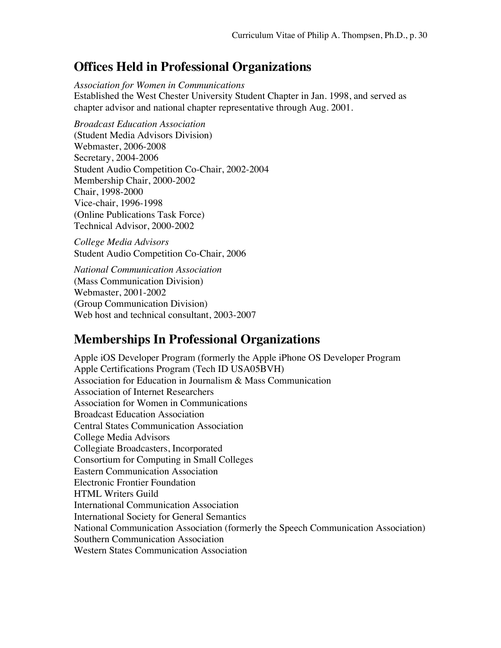### **Offices Held in Professional Organizations**

*Association for Women in Communications* Established the West Chester University Student Chapter in Jan. 1998, and served as chapter advisor and national chapter representative through Aug. 2001.

*Broadcast Education Association* (Student Media Advisors Division) Webmaster, 2006-2008 Secretary, 2004-2006 Student Audio Competition Co-Chair, 2002-2004 Membership Chair, 2000-2002 Chair, 1998-2000 Vice-chair, 1996-1998 (Online Publications Task Force) Technical Advisor, 2000-2002

*College Media Advisors* Student Audio Competition Co-Chair, 2006

*National Communication Association* (Mass Communication Division) Webmaster, 2001-2002 (Group Communication Division) Web host and technical consultant, 2003-2007

### **Memberships In Professional Organizations**

Apple iOS Developer Program (formerly the Apple iPhone OS Developer Program Apple Certifications Program (Tech ID USA05BVH) Association for Education in Journalism & Mass Communication Association of Internet Researchers Association for Women in Communications Broadcast Education Association Central States Communication Association College Media Advisors Collegiate Broadcasters, Incorporated Consortium for Computing in Small Colleges Eastern Communication Association Electronic Frontier Foundation HTML Writers Guild International Communication Association International Society for General Semantics National Communication Association (formerly the Speech Communication Association) Southern Communication Association Western States Communication Association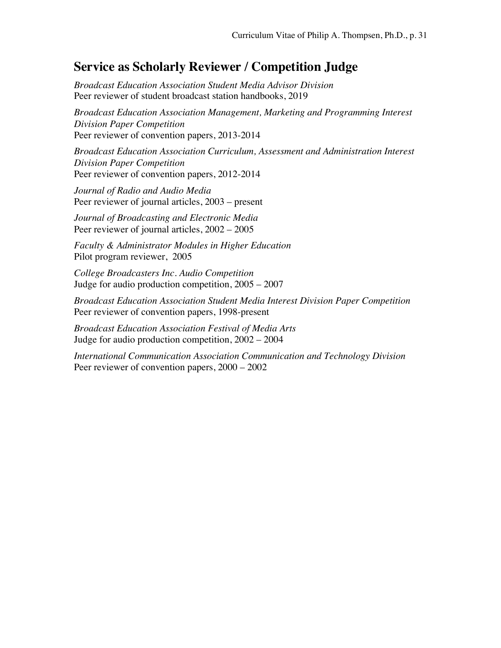### **Service as Scholarly Reviewer / Competition Judge**

*Broadcast Education Association Student Media Advisor Division*  Peer reviewer of student broadcast station handbooks, 2019

*Broadcast Education Association Management, Marketing and Programming Interest Division Paper Competition* Peer reviewer of convention papers, 2013-2014

*Broadcast Education Association Curriculum, Assessment and Administration Interest Division Paper Competition* Peer reviewer of convention papers, 2012-2014

*Journal of Radio and Audio Media* Peer reviewer of journal articles, 2003 – present

*Journal of Broadcasting and Electronic Media* Peer reviewer of journal articles, 2002 – 2005

*Faculty & Administrator Modules in Higher Education* Pilot program reviewer, 2005

*College Broadcasters Inc. Audio Competition* Judge for audio production competition, 2005 – 2007

*Broadcast Education Association Student Media Interest Division Paper Competition* Peer reviewer of convention papers, 1998-present

*Broadcast Education Association Festival of Media Arts* Judge for audio production competition, 2002 – 2004

*International Communication Association Communication and Technology Division* Peer reviewer of convention papers, 2000 – 2002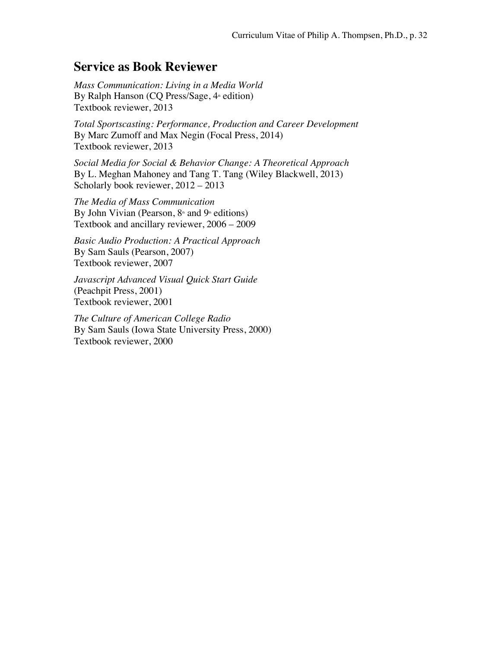### **Service as Book Reviewer**

*Mass Communication: Living in a Media World* By Ralph Hanson (CQ Press/Sage,  $4<sup>*</sup>$  edition) Textbook reviewer, 2013

*Total Sportscasting: Performance, Production and Career Development* By Marc Zumoff and Max Negin (Focal Press, 2014) Textbook reviewer, 2013

*Social Media for Social & Behavior Change: A Theoretical Approach* By L. Meghan Mahoney and Tang T. Tang (Wiley Blackwell, 2013) Scholarly book reviewer, 2012 – 2013

*The Media of Mass Communication* By John Vivian (Pearson,  $8<sup>th</sup>$  and  $9<sup>th</sup>$  editions) Textbook and ancillary reviewer, 2006 – 2009

*Basic Audio Production: A Practical Approach* By Sam Sauls (Pearson, 2007) Textbook reviewer, 2007

*Javascript Advanced Visual Quick Start Guide* (Peachpit Press, 2001) Textbook reviewer, 2001

*The Culture of American College Radio* By Sam Sauls (Iowa State University Press, 2000) Textbook reviewer, 2000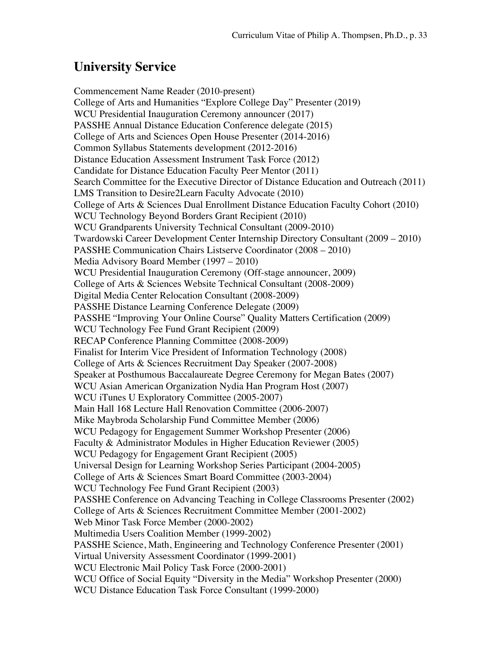# **University Service**

Commencement Name Reader (2010-present) College of Arts and Humanities "Explore College Day" Presenter (2019) WCU Presidential Inauguration Ceremony announcer (2017) PASSHE Annual Distance Education Conference delegate (2015) College of Arts and Sciences Open House Presenter (2014-2016) Common Syllabus Statements development (2012-2016) Distance Education Assessment Instrument Task Force (2012) Candidate for Distance Education Faculty Peer Mentor (2011) Search Committee for the Executive Director of Distance Education and Outreach (2011) LMS Transition to Desire2Learn Faculty Advocate (2010) College of Arts & Sciences Dual Enrollment Distance Education Faculty Cohort (2010) WCU Technology Beyond Borders Grant Recipient (2010) WCU Grandparents University Technical Consultant (2009-2010) Twardowski Career Development Center Internship Directory Consultant (2009 – 2010) PASSHE Communication Chairs Listserve Coordinator (2008 – 2010) Media Advisory Board Member (1997 – 2010) WCU Presidential Inauguration Ceremony (Off-stage announcer, 2009) College of Arts & Sciences Website Technical Consultant (2008-2009) Digital Media Center Relocation Consultant (2008-2009) PASSHE Distance Learning Conference Delegate (2009) PASSHE "Improving Your Online Course" Quality Matters Certification (2009) WCU Technology Fee Fund Grant Recipient (2009) RECAP Conference Planning Committee (2008-2009) Finalist for Interim Vice President of Information Technology (2008) College of Arts & Sciences Recruitment Day Speaker (2007-2008) Speaker at Posthumous Baccalaureate Degree Ceremony for Megan Bates (2007) WCU Asian American Organization Nydia Han Program Host (2007) WCU iTunes U Exploratory Committee (2005-2007) Main Hall 168 Lecture Hall Renovation Committee (2006-2007) Mike Maybroda Scholarship Fund Committee Member (2006) WCU Pedagogy for Engagement Summer Workshop Presenter (2006) Faculty & Administrator Modules in Higher Education Reviewer (2005) WCU Pedagogy for Engagement Grant Recipient (2005) Universal Design for Learning Workshop Series Participant (2004-2005) College of Arts & Sciences Smart Board Committee (2003-2004) WCU Technology Fee Fund Grant Recipient (2003) PASSHE Conference on Advancing Teaching in College Classrooms Presenter (2002) College of Arts & Sciences Recruitment Committee Member (2001-2002) Web Minor Task Force Member (2000-2002) Multimedia Users Coalition Member (1999-2002) PASSHE Science, Math, Engineering and Technology Conference Presenter (2001) Virtual University Assessment Coordinator (1999-2001) WCU Electronic Mail Policy Task Force (2000-2001) WCU Office of Social Equity "Diversity in the Media" Workshop Presenter (2000) WCU Distance Education Task Force Consultant (1999-2000)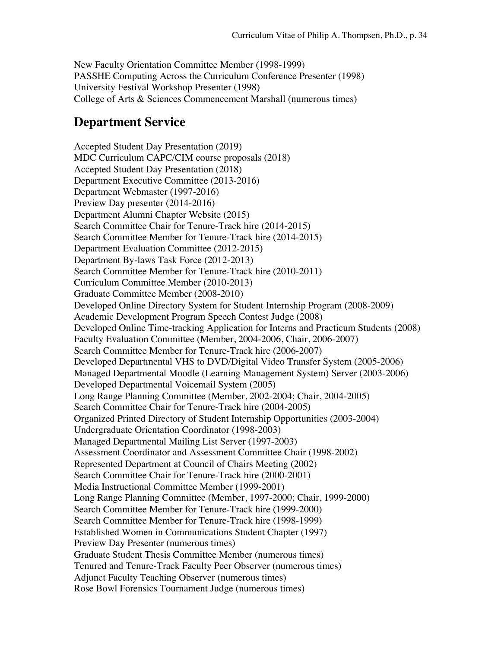New Faculty Orientation Committee Member (1998-1999) PASSHE Computing Across the Curriculum Conference Presenter (1998) University Festival Workshop Presenter (1998) College of Arts & Sciences Commencement Marshall (numerous times)

### **Department Service**

Accepted Student Day Presentation (2019) MDC Curriculum CAPC/CIM course proposals (2018) Accepted Student Day Presentation (2018) Department Executive Committee (2013-2016) Department Webmaster (1997-2016) Preview Day presenter (2014-2016) Department Alumni Chapter Website (2015) Search Committee Chair for Tenure-Track hire (2014-2015) Search Committee Member for Tenure-Track hire (2014-2015) Department Evaluation Committee (2012-2015) Department By-laws Task Force (2012-2013) Search Committee Member for Tenure-Track hire (2010-2011) Curriculum Committee Member (2010-2013) Graduate Committee Member (2008-2010) Developed Online Directory System for Student Internship Program (2008-2009) Academic Development Program Speech Contest Judge (2008) Developed Online Time-tracking Application for Interns and Practicum Students (2008) Faculty Evaluation Committee (Member, 2004-2006, Chair, 2006-2007) Search Committee Member for Tenure-Track hire (2006-2007) Developed Departmental VHS to DVD/Digital Video Transfer System (2005-2006) Managed Departmental Moodle (Learning Management System) Server (2003-2006) Developed Departmental Voicemail System (2005) Long Range Planning Committee (Member, 2002-2004; Chair, 2004-2005) Search Committee Chair for Tenure-Track hire (2004-2005) Organized Printed Directory of Student Internship Opportunities (2003-2004) Undergraduate Orientation Coordinator (1998-2003) Managed Departmental Mailing List Server (1997-2003) Assessment Coordinator and Assessment Committee Chair (1998-2002) Represented Department at Council of Chairs Meeting (2002) Search Committee Chair for Tenure-Track hire (2000-2001) Media Instructional Committee Member (1999-2001) Long Range Planning Committee (Member, 1997-2000; Chair, 1999-2000) Search Committee Member for Tenure-Track hire (1999-2000) Search Committee Member for Tenure-Track hire (1998-1999) Established Women in Communications Student Chapter (1997) Preview Day Presenter (numerous times) Graduate Student Thesis Committee Member (numerous times) Tenured and Tenure-Track Faculty Peer Observer (numerous times) Adjunct Faculty Teaching Observer (numerous times) Rose Bowl Forensics Tournament Judge (numerous times)